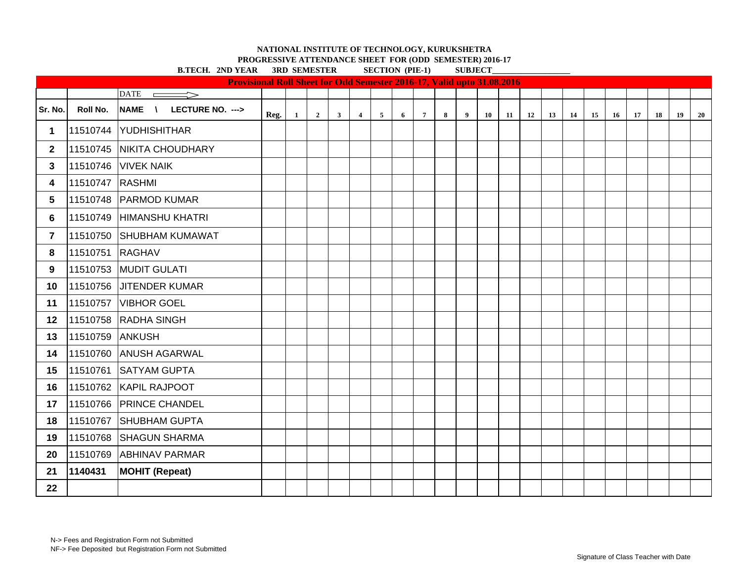**PROGRESSIVE ATTENDANCE SHEET FOR (ODD SEMESTER) 2016-17**<br> **PROGRESSIVE ATTENDANCE SECTION (DIE 1)** SUPERTON CONDITION

|                |          | <b>B.TECH. 2ND YEAR 3RD SEMESTER</b> |                                                                               |              |                |              | <b>SECTION (PIE-1)</b>  |                |   |                 |                 | <b>SUBJECT</b> |    |    |    |    |    |    |    |    |    |    |    |
|----------------|----------|--------------------------------------|-------------------------------------------------------------------------------|--------------|----------------|--------------|-------------------------|----------------|---|-----------------|-----------------|----------------|----|----|----|----|----|----|----|----|----|----|----|
|                |          |                                      | <b>Provisional Roll Sheet for Odd Semester 2016-17, Valid upto 31.08.2016</b> |              |                |              |                         |                |   |                 |                 |                |    |    |    |    |    |    |    |    |    |    |    |
|                |          | $\triangle$                          |                                                                               |              |                |              |                         |                |   |                 |                 |                |    |    |    |    |    |    |    |    |    |    |    |
| Sr. No.        | Roll No. | NAME \ LECTURE NO. --->              | Reg.                                                                          | $\mathbf{1}$ | $\overline{2}$ | $\mathbf{3}$ | $\overline{\mathbf{4}}$ | $\overline{5}$ | 6 | $7\phantom{.0}$ | $8\phantom{.0}$ | $\overline{9}$ | 10 | 11 | 12 | 13 | 14 | 15 | 16 | 17 | 18 | 19 | 20 |
| $\mathbf 1$    | 11510744 | YUDHISHITHAR                         |                                                                               |              |                |              |                         |                |   |                 |                 |                |    |    |    |    |    |    |    |    |    |    |    |
| $\mathbf{2}$   |          | 11510745 NIKITA CHOUDHARY            |                                                                               |              |                |              |                         |                |   |                 |                 |                |    |    |    |    |    |    |    |    |    |    |    |
| $\mathbf{3}$   | 11510746 | <b>VIVEK NAIK</b>                    |                                                                               |              |                |              |                         |                |   |                 |                 |                |    |    |    |    |    |    |    |    |    |    |    |
| 4              | 11510747 | <b>RASHMI</b>                        |                                                                               |              |                |              |                         |                |   |                 |                 |                |    |    |    |    |    |    |    |    |    |    |    |
| 5              |          | 11510748 PARMOD KUMAR                |                                                                               |              |                |              |                         |                |   |                 |                 |                |    |    |    |    |    |    |    |    |    |    |    |
| 6              | 11510749 | HIMANSHU KHATRI                      |                                                                               |              |                |              |                         |                |   |                 |                 |                |    |    |    |    |    |    |    |    |    |    |    |
| $\overline{7}$ | 11510750 | <b>SHUBHAM KUMAWAT</b>               |                                                                               |              |                |              |                         |                |   |                 |                 |                |    |    |    |    |    |    |    |    |    |    |    |
| 8              | 11510751 | <b>RAGHAV</b>                        |                                                                               |              |                |              |                         |                |   |                 |                 |                |    |    |    |    |    |    |    |    |    |    |    |
| 9              | 11510753 | MUDIT GULATI                         |                                                                               |              |                |              |                         |                |   |                 |                 |                |    |    |    |    |    |    |    |    |    |    |    |
| 10             | 11510756 | <b>JITENDER KUMAR</b>                |                                                                               |              |                |              |                         |                |   |                 |                 |                |    |    |    |    |    |    |    |    |    |    |    |
| 11             | 11510757 | <b>VIBHOR GOEL</b>                   |                                                                               |              |                |              |                         |                |   |                 |                 |                |    |    |    |    |    |    |    |    |    |    |    |
| 12             | 11510758 | <b>RADHA SINGH</b>                   |                                                                               |              |                |              |                         |                |   |                 |                 |                |    |    |    |    |    |    |    |    |    |    |    |
| 13             | 11510759 | <b>ANKUSH</b>                        |                                                                               |              |                |              |                         |                |   |                 |                 |                |    |    |    |    |    |    |    |    |    |    |    |
| 14             |          | 11510760 ANUSH AGARWAL               |                                                                               |              |                |              |                         |                |   |                 |                 |                |    |    |    |    |    |    |    |    |    |    |    |
| 15             | 11510761 | <b>SATYAM GUPTA</b>                  |                                                                               |              |                |              |                         |                |   |                 |                 |                |    |    |    |    |    |    |    |    |    |    |    |
| 16             |          | 11510762 KAPIL RAJPOOT               |                                                                               |              |                |              |                         |                |   |                 |                 |                |    |    |    |    |    |    |    |    |    |    |    |
| 17             |          | 11510766 PRINCE CHANDEL              |                                                                               |              |                |              |                         |                |   |                 |                 |                |    |    |    |    |    |    |    |    |    |    |    |
| 18             | 11510767 | SHUBHAM GUPTA                        |                                                                               |              |                |              |                         |                |   |                 |                 |                |    |    |    |    |    |    |    |    |    |    |    |
| 19             | 11510768 | <b>SHAGUN SHARMA</b>                 |                                                                               |              |                |              |                         |                |   |                 |                 |                |    |    |    |    |    |    |    |    |    |    |    |
| 20             | 11510769 | <b>ABHINAV PARMAR</b>                |                                                                               |              |                |              |                         |                |   |                 |                 |                |    |    |    |    |    |    |    |    |    |    |    |
| 21             | 1140431  | <b>MOHIT (Repeat)</b>                |                                                                               |              |                |              |                         |                |   |                 |                 |                |    |    |    |    |    |    |    |    |    |    |    |
| 22             |          |                                      |                                                                               |              |                |              |                         |                |   |                 |                 |                |    |    |    |    |    |    |    |    |    |    |    |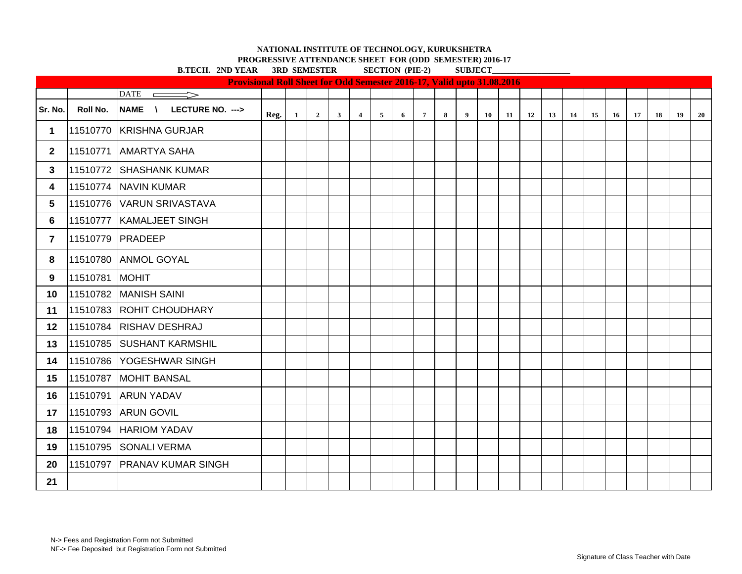**PROGRESSIVE ATTENDANCE SHEET FOR (ODD SEMESTER) 2016-17**

|                         | <b>B.TECH. 2ND YEAR</b><br>3RD SEMESTER<br><b>SECTION</b> (PIE-2)             |                               |      |              |                |              |                |                |   |                |   |                | <b>SUBJECT</b> |     |    |    |    |    |    |    |    |    |    |  |  |
|-------------------------|-------------------------------------------------------------------------------|-------------------------------|------|--------------|----------------|--------------|----------------|----------------|---|----------------|---|----------------|----------------|-----|----|----|----|----|----|----|----|----|----|--|--|
|                         | <b>Provisional Roll Sheet for Odd Semester 2016-17, Valid upto 31.08.2016</b> |                               |      |              |                |              |                |                |   |                |   |                |                |     |    |    |    |    |    |    |    |    |    |  |  |
|                         |                                                                               | <b>DATE</b><br>$\Rightarrow$  |      |              |                |              |                |                |   |                |   |                |                |     |    |    |    |    |    |    |    |    |    |  |  |
| Sr. No.                 | Roll No.                                                                      | NAME \<br>LECTURE NO. --->    | Reg. | $\mathbf{1}$ | $\overline{2}$ | $\mathbf{3}$ | $\overline{4}$ | $\overline{5}$ | 6 | 7 <sup>7</sup> | 8 | $\overline{9}$ | 10             | -11 | 12 | 13 | 14 | 15 | 16 | 17 | 18 | 19 | 20 |  |  |
| 1                       |                                                                               | 11510770 KRISHNA GURJAR       |      |              |                |              |                |                |   |                |   |                |                |     |    |    |    |    |    |    |    |    |    |  |  |
| $\mathbf{2}$            | 11510771                                                                      | <b>AMARTYA SAHA</b>           |      |              |                |              |                |                |   |                |   |                |                |     |    |    |    |    |    |    |    |    |    |  |  |
| 3                       | 11510772                                                                      | <b>SHASHANK KUMAR</b>         |      |              |                |              |                |                |   |                |   |                |                |     |    |    |    |    |    |    |    |    |    |  |  |
| 4                       |                                                                               | 11510774 NAVIN KUMAR          |      |              |                |              |                |                |   |                |   |                |                |     |    |    |    |    |    |    |    |    |    |  |  |
| 5                       |                                                                               | 11510776 VARUN SRIVASTAVA     |      |              |                |              |                |                |   |                |   |                |                |     |    |    |    |    |    |    |    |    |    |  |  |
| 6                       |                                                                               | 11510777   KAMALJEET SINGH    |      |              |                |              |                |                |   |                |   |                |                |     |    |    |    |    |    |    |    |    |    |  |  |
| $\overline{\mathbf{r}}$ | 11510779                                                                      | PRADEEP                       |      |              |                |              |                |                |   |                |   |                |                |     |    |    |    |    |    |    |    |    |    |  |  |
| 8                       | 11510780                                                                      | <b>ANMOL GOYAL</b>            |      |              |                |              |                |                |   |                |   |                |                |     |    |    |    |    |    |    |    |    |    |  |  |
| 9                       | 11510781                                                                      | <b>MOHIT</b>                  |      |              |                |              |                |                |   |                |   |                |                |     |    |    |    |    |    |    |    |    |    |  |  |
| 10                      |                                                                               | 11510782 MANISH SAINI         |      |              |                |              |                |                |   |                |   |                |                |     |    |    |    |    |    |    |    |    |    |  |  |
| 11                      |                                                                               | 11510783 ROHIT CHOUDHARY      |      |              |                |              |                |                |   |                |   |                |                |     |    |    |    |    |    |    |    |    |    |  |  |
| $12 \,$                 | 11510784                                                                      | <b>RISHAV DESHRAJ</b>         |      |              |                |              |                |                |   |                |   |                |                |     |    |    |    |    |    |    |    |    |    |  |  |
| 13                      |                                                                               | 11510785 SUSHANT KARMSHIL     |      |              |                |              |                |                |   |                |   |                |                |     |    |    |    |    |    |    |    |    |    |  |  |
| 14                      | 11510786                                                                      | <b>YOGESHWAR SINGH</b>        |      |              |                |              |                |                |   |                |   |                |                |     |    |    |    |    |    |    |    |    |    |  |  |
| 15                      | 11510787                                                                      | <b>MOHIT BANSAL</b>           |      |              |                |              |                |                |   |                |   |                |                |     |    |    |    |    |    |    |    |    |    |  |  |
| 16                      | 11510791                                                                      | <b>ARUN YADAV</b>             |      |              |                |              |                |                |   |                |   |                |                |     |    |    |    |    |    |    |    |    |    |  |  |
| 17                      | 11510793                                                                      | <b>ARUN GOVIL</b>             |      |              |                |              |                |                |   |                |   |                |                |     |    |    |    |    |    |    |    |    |    |  |  |
| 18                      | 11510794                                                                      | <b>HARIOM YADAV</b>           |      |              |                |              |                |                |   |                |   |                |                |     |    |    |    |    |    |    |    |    |    |  |  |
| 19                      | 11510795                                                                      | <b>SONALI VERMA</b>           |      |              |                |              |                |                |   |                |   |                |                |     |    |    |    |    |    |    |    |    |    |  |  |
| 20                      |                                                                               | 11510797   PRANAV KUMAR SINGH |      |              |                |              |                |                |   |                |   |                |                |     |    |    |    |    |    |    |    |    |    |  |  |
| 21                      |                                                                               |                               |      |              |                |              |                |                |   |                |   |                |                |     |    |    |    |    |    |    |    |    |    |  |  |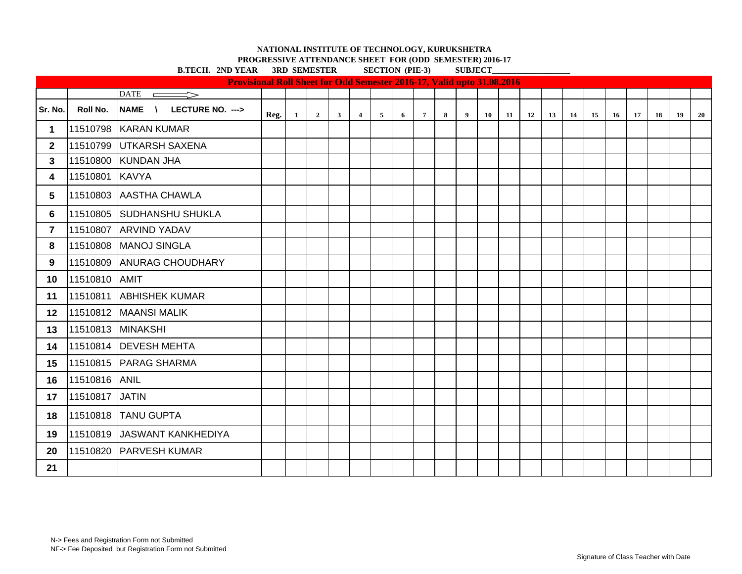**PROGRESSIVE ATTENDANCE SHEET FOR (ODD SEMESTER) 2016-17**<br> **PROGRESSIVE ATTENDANCE SECTION (DE 2)**<br>
SUBJECT

|                 |                | <b>B.TECH. 2ND YEAR 3RD SEMESTER</b>                                          |      |              |                         |              |                |                |   | <b>SECTION (PIE-3)</b> |        | <b>SUBJECT</b> |    |    |           |    |           |    |    |    |    |    |    |
|-----------------|----------------|-------------------------------------------------------------------------------|------|--------------|-------------------------|--------------|----------------|----------------|---|------------------------|--------|----------------|----|----|-----------|----|-----------|----|----|----|----|----|----|
|                 |                | <b>Provisional Roll Sheet for Odd Semester 2016-17, Valid upto 31.08.2016</b> |      |              |                         |              |                |                |   |                        |        |                |    |    |           |    |           |    |    |    |    |    |    |
|                 |                | $\overline{\text{DATE}}$                                                      |      |              |                         |              |                |                |   |                        |        |                |    |    |           |    |           |    |    |    |    |    |    |
| Sr. No.         | Roll No.       | NAME \ LECTURE NO. --->                                                       | Reg. | $\mathbf{1}$ | $\overline{\mathbf{2}}$ | $\mathbf{3}$ | $\overline{4}$ | $\overline{5}$ | 6 | $7\overline{ }$        | $\bf8$ | 9              | 10 | 11 | <b>12</b> | 13 | <b>14</b> | 15 | 16 | 17 | 18 | 19 | 20 |
| $\mathbf 1$     |                | 11510798 KARAN KUMAR                                                          |      |              |                         |              |                |                |   |                        |        |                |    |    |           |    |           |    |    |    |    |    |    |
| 2 <sup>1</sup>  |                | 11510799 UTKARSH SAXENA                                                       |      |              |                         |              |                |                |   |                        |        |                |    |    |           |    |           |    |    |    |    |    |    |
| $\mathbf{3}$    |                | 11510800 KUNDAN JHA                                                           |      |              |                         |              |                |                |   |                        |        |                |    |    |           |    |           |    |    |    |    |    |    |
| 4               | 11510801 KAVYA |                                                                               |      |              |                         |              |                |                |   |                        |        |                |    |    |           |    |           |    |    |    |    |    |    |
| 5               |                | 11510803 AASTHA CHAWLA                                                        |      |              |                         |              |                |                |   |                        |        |                |    |    |           |    |           |    |    |    |    |    |    |
| 6               |                | 11510805 SUDHANSHU SHUKLA                                                     |      |              |                         |              |                |                |   |                        |        |                |    |    |           |    |           |    |    |    |    |    |    |
| $\overline{7}$  | 11510807       | <b>ARVIND YADAV</b>                                                           |      |              |                         |              |                |                |   |                        |        |                |    |    |           |    |           |    |    |    |    |    |    |
| 8               |                | 11510808 MANOJ SINGLA                                                         |      |              |                         |              |                |                |   |                        |        |                |    |    |           |    |           |    |    |    |    |    |    |
| 9               |                | 11510809 ANURAG CHOUDHARY                                                     |      |              |                         |              |                |                |   |                        |        |                |    |    |           |    |           |    |    |    |    |    |    |
| 10              | 11510810 AMIT  |                                                                               |      |              |                         |              |                |                |   |                        |        |                |    |    |           |    |           |    |    |    |    |    |    |
| 11              | 11510811       | <b>ABHISHEK KUMAR</b>                                                         |      |              |                         |              |                |                |   |                        |        |                |    |    |           |    |           |    |    |    |    |    |    |
| 12 <sub>2</sub> |                | 11510812 MAANSI MALIK                                                         |      |              |                         |              |                |                |   |                        |        |                |    |    |           |    |           |    |    |    |    |    |    |
| 13              |                | 11510813 MINAKSHI                                                             |      |              |                         |              |                |                |   |                        |        |                |    |    |           |    |           |    |    |    |    |    |    |
| 14              |                | 11510814   DEVESH MEHTA                                                       |      |              |                         |              |                |                |   |                        |        |                |    |    |           |    |           |    |    |    |    |    |    |
| 15              |                | 11510815 PARAG SHARMA                                                         |      |              |                         |              |                |                |   |                        |        |                |    |    |           |    |           |    |    |    |    |    |    |
| 16              | 11510816       | <b>ANIL</b>                                                                   |      |              |                         |              |                |                |   |                        |        |                |    |    |           |    |           |    |    |    |    |    |    |
| 17              | 11510817       | <b>JATIN</b>                                                                  |      |              |                         |              |                |                |   |                        |        |                |    |    |           |    |           |    |    |    |    |    |    |
| 18              |                | 11510818 TANU GUPTA                                                           |      |              |                         |              |                |                |   |                        |        |                |    |    |           |    |           |    |    |    |    |    |    |
| 19              | 11510819       | JASWANT KANKHEDIYA                                                            |      |              |                         |              |                |                |   |                        |        |                |    |    |           |    |           |    |    |    |    |    |    |
| 20              | 11510820       | <b>PARVESH KUMAR</b>                                                          |      |              |                         |              |                |                |   |                        |        |                |    |    |           |    |           |    |    |    |    |    |    |
| 21              |                |                                                                               |      |              |                         |              |                |                |   |                        |        |                |    |    |           |    |           |    |    |    |    |    |    |